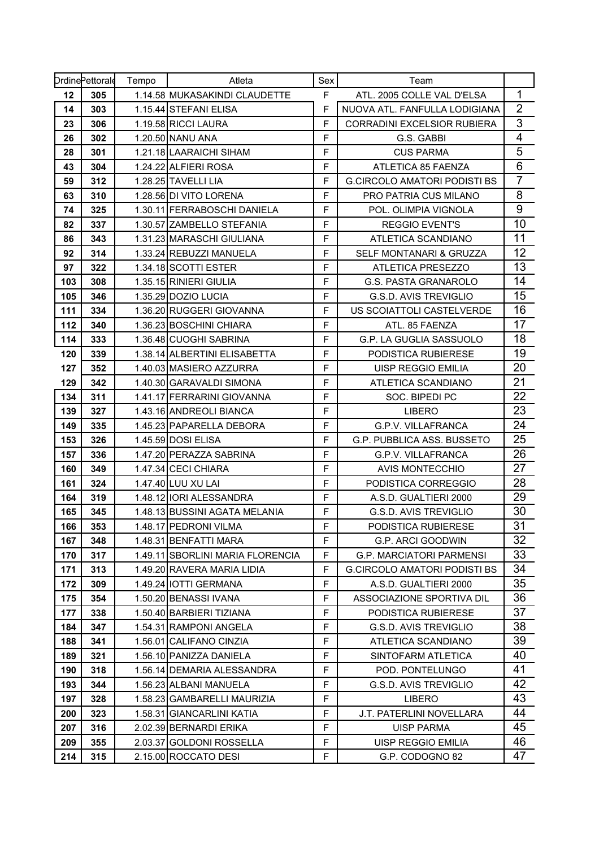|     | <b>DrdinePettorale</b> | Tempo | Atleta                           | Sex         | Team                                |                         |
|-----|------------------------|-------|----------------------------------|-------------|-------------------------------------|-------------------------|
| 12  | 305                    |       | 1.14.58 MUKASAKINDI CLAUDETTE    | F           | ATL. 2005 COLLE VAL D'ELSA          | 1                       |
| 14  | 303                    |       | 1.15.44 STEFANI ELISA            | F           | NUOVA ATL. FANFULLA LODIGIANA       | $\overline{2}$          |
| 23  | 306                    |       | 1.19.58 RICCI LAURA              | F           | <b>CORRADINI EXCELSIOR RUBIERA</b>  | 3                       |
| 26  | 302                    |       | 1.20.50 NANU ANA                 | F           | G.S. GABBI                          | $\overline{\mathbf{4}}$ |
| 28  | 301                    |       | 1.21.18 LAARAICHI SIHAM          | F           | <b>CUS PARMA</b>                    | 5                       |
| 43  | 304                    |       | 1.24.22 ALFIERI ROSA             | F           | ATLETICA 85 FAENZA                  | $\overline{6}$          |
| 59  | 312                    |       | 1.28.25 TAVELLI LIA              | F           | <b>G.CIRCOLO AMATORI PODISTI BS</b> | $\overline{7}$          |
| 63  | 310                    |       | 1.28.56 DI VITO LORENA           | F           | <b>PRO PATRIA CUS MILANO</b>        | 8                       |
| 74  | 325                    |       | 1.30.11 FERRABOSCHI DANIELA      | F           | POL. OLIMPIA VIGNOLA                | 9                       |
| 82  | 337                    |       | 1.30.57 ZAMBELLO STEFANIA        | F           | <b>REGGIO EVENT'S</b>               | 10                      |
| 86  | 343                    |       | 1.31.23 MARASCHI GIULIANA        | F           | ATLETICA SCANDIANO                  | 11                      |
| 92  | 314                    |       | 1.33.24 REBUZZI MANUELA          | F           | SELF MONTANARI & GRUZZA             | 12                      |
| 97  | 322                    |       | 1.34.18 SCOTTI ESTER             | F           | ATLETICA PRESEZZO                   | 13                      |
| 103 | 308                    |       | 1.35.15 RINIERI GIULIA           | F           | <b>G.S. PASTA GRANAROLO</b>         | 14                      |
| 105 | 346                    |       | 1.35.29 DOZIO LUCIA              | F           | <b>G.S.D. AVIS TREVIGLIO</b>        | 15                      |
| 111 | 334                    |       | 1.36.20 RUGGERI GIOVANNA         | F           | US SCOIATTOLI CASTELVERDE           | 16                      |
| 112 | 340                    |       | 1.36.23 BOSCHINI CHIARA          | $\mathsf F$ | ATL. 85 FAENZA                      | 17                      |
| 114 | 333                    |       | 1.36.48 CUOGHI SABRINA           | F           | G.P. LA GUGLIA SASSUOLO             | 18                      |
| 120 | 339                    |       | 1.38.14 ALBERTINI ELISABETTA     | F           | PODISTICA RUBIERESE                 | 19                      |
| 127 | 352                    |       | 1.40.03 MASIERO AZZURRA          | F           | UISP REGGIO EMILIA                  | 20                      |
| 129 | 342                    |       | 1.40.30 GARAVALDI SIMONA         | F           | ATLETICA SCANDIANO                  | 21                      |
| 134 | 311                    |       | 1.41.17 FERRARINI GIOVANNA       | F           | SOC. BIPEDI PC                      | 22                      |
| 139 | 327                    |       | 1.43.16 ANDREOLI BIANCA          | F           | <b>LIBERO</b>                       | 23                      |
| 149 | 335                    |       | 1.45.23 PAPARELLA DEBORA         | F           | <b>G.P.V. VILLAFRANCA</b>           | 24                      |
| 153 | 326                    |       | 1.45.59 DOSI ELISA               | $\mathsf F$ | <b>G.P. PUBBLICA ASS. BUSSETO</b>   | 25                      |
| 157 | 336                    |       | 1.47.20 PERAZZA SABRINA          | F           | <b>G.P.V. VILLAFRANCA</b>           | 26                      |
| 160 | 349                    |       | 1.47.34 CECI CHIARA              | F           | <b>AVIS MONTECCHIO</b>              | 27                      |
| 161 | 324                    |       | 1.47.40 LUU XU LAI               | F           | PODISTICA CORREGGIO                 | 28                      |
| 164 | 319                    |       | 1.48.12 IORI ALESSANDRA          | F           | A.S.D. GUALTIERI 2000               | 29                      |
| 165 | 345                    |       | 1.48.13 BUSSINI AGATA MELANIA    | $\mathsf F$ | G.S.D. AVIS TREVIGLIO               | 30                      |
| 166 | 353                    |       | 1.48.17 PEDRONI VILMA            | F           | PODISTICA RUBIERESE                 | $\overline{31}$         |
| 167 | 348                    |       | 1.48.31 BENFATTI MARA            | F           | G.P. ARCI GOODWIN                   | 32                      |
| 170 | 317                    |       | 1.49.11 SBORLINI MARIA FLORENCIA | F           | <b>G.P. MARCIATORI PARMENSI</b>     | 33                      |
| 171 | 313                    |       | 1.49.20 RAVERA MARIA LIDIA       | F           | <b>G.CIRCOLO AMATORI PODISTI BS</b> | 34                      |
| 172 | 309                    |       | 1.49.24 IOTTI GERMANA            | F           | A.S.D. GUALTIERI 2000               | 35                      |
| 175 | 354                    |       | 1.50.20 BENASSI IVANA            | F           | ASSOCIAZIONE SPORTIVA DIL           | 36                      |
| 177 | 338                    |       | 1.50.40 BARBIERI TIZIANA         | F           | PODISTICA RUBIERESE                 | 37                      |
| 184 | 347                    |       | 1.54.31 RAMPONI ANGELA           | F           | <b>G.S.D. AVIS TREVIGLIO</b>        | 38                      |
| 188 | 341                    |       | 1.56.01 CALIFANO CINZIA          | F           | ATLETICA SCANDIANO                  | 39                      |
| 189 | 321                    |       | 1.56.10 PANIZZA DANIELA          | F           | SINTOFARM ATLETICA                  | 40                      |
| 190 | 318                    |       | 1.56.14 DEMARIA ALESSANDRA       | F           | POD. PONTELUNGO                     | 41                      |
| 193 | 344                    |       | 1.56.23 ALBANI MANUELA           | F           | <b>G.S.D. AVIS TREVIGLIO</b>        | 42                      |
| 197 | 328                    |       | 1.58.23 GAMBARELLI MAURIZIA      | F           | <b>LIBERO</b>                       | 43                      |
| 200 | 323                    |       | 1.58.31 GIANCARLINI KATIA        | F           | J.T. PATERLINI NOVELLARA            | 44                      |
| 207 | 316                    |       | 2.02.39 BERNARDI ERIKA           | F           | UISP PARMA                          | 45                      |
| 209 | 355                    |       | 2.03.37 GOLDONI ROSSELLA         | F           | UISP REGGIO EMILIA                  | 46                      |
| 214 | 315                    |       | 2.15.00 ROCCATO DESI             | F           | G.P. CODOGNO 82                     | 47                      |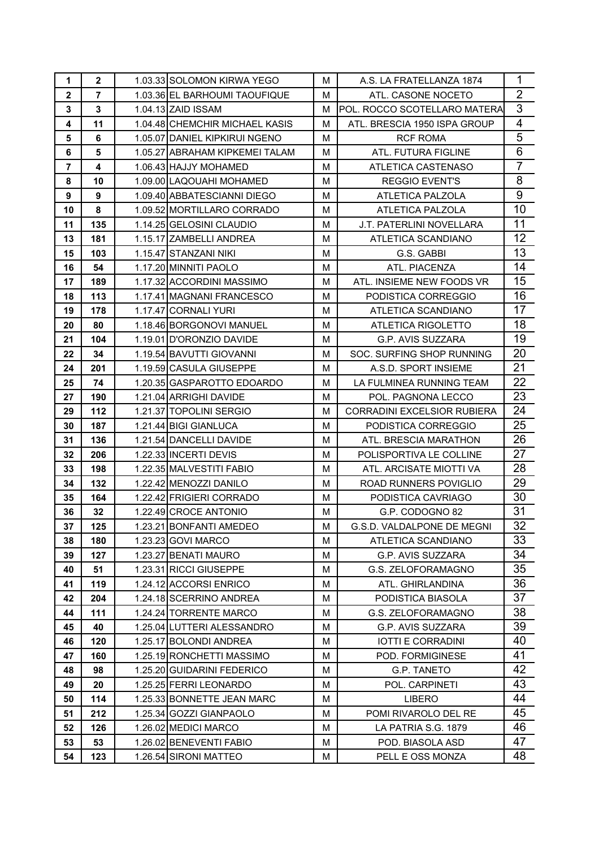| $\mathbf 1$    | $\mathbf{2}$   | 1.03.33 SOLOMON KIRWA YEGO     | м | A.S. LA FRATELLANZA 1874      | 1                       |
|----------------|----------------|--------------------------------|---|-------------------------------|-------------------------|
| $\mathbf 2$    | $\overline{7}$ | 1.03.36 EL BARHOUMI TAOUFIQUE  | м | ATL. CASONE NOCETO            | $\overline{2}$          |
| 3              | 3              | 1.04.13 ZAID ISSAM             | м | IPOL. ROCCO SCOTELLARO MATERA | 3                       |
| 4              | 11             | 1.04.48 CHEMCHIR MICHAEL KASIS | M | ATL, BRESCIA 1950 ISPA GROUP  | $\overline{\mathbf{4}}$ |
| 5              | 6              | 1.05.07 DANIEL KIPKIRUI NGENO  | м | <b>RCF ROMA</b>               | 5                       |
| 6              | 5              | 1.05.27 ABRAHAM KIPKEMEI TALAM | м | ATL. FUTURA FIGLINE           | 6                       |
| $\overline{7}$ | 4              | 1.06.43 HAJJY MOHAMED          | м | ATLETICA CASTENASO            | $\overline{7}$          |
| 8              | 10             | 1.09.00 LAQOUAHI MOHAMED       | м | <b>REGGIO EVENT'S</b>         | 8                       |
| 9              | 9              | 1.09.40 ABBATESCIANNI DIEGO    | м | ATLETICA PALZOLA              | $9$                     |
| 10             | 8              | 1.09.52 MORTILLARO CORRADO     | M | ATLETICA PALZOLA              | 10                      |
| 11             | 135            | 1.14.25 GELOSINI CLAUDIO       | м | J.T. PATERLINI NOVELLARA      | 11                      |
| 13             | 181            | 1.15.17 ZAMBELLI ANDREA        | М | ATLETICA SCANDIANO            | 12                      |
| 15             | 103            | 1.15.47 STANZANI NIKI          | м | G.S. GABBI                    | 13                      |
| 16             | 54             | 1.17.20 MINNITI PAOLO          | M | ATL. PIACENZA                 | 14                      |
| 17             | 189            | 1.17.32 ACCORDINI MASSIMO      | M | ATL. INSIEME NEW FOODS VR     | 15                      |
| 18             | 113            | 1.17.41 MAGNANI FRANCESCO      | м | PODISTICA CORREGGIO           | 16                      |
| 19             | 178            | 1.17.47 CORNALI YURI           | м | ATLETICA SCANDIANO            | 17                      |
| 20             | 80             | 1.18.46 BORGONOVI MANUEL       | м | ATLETICA RIGOLETTO            | 18                      |
| 21             | 104            | 1.19.01 ID'ORONZIO DAVIDE      | м | G.P. AVIS SUZZARA             | 19                      |
| 22             | 34             | 1.19.54 BAVUTTI GIOVANNI       | м | SOC. SURFING SHOP RUNNING     | 20                      |
| 24             | 201            | 1.19.59 CASULA GIUSEPPE        | м | A.S.D. SPORT INSIEME          | 21                      |
| 25             | 74             | 1.20.35 GASPAROTTO EDOARDO     | м | LA FULMINEA RUNNING TEAM      | 22                      |
| 27             | 190            | 1.21.04 ARRIGHI DAVIDE         | М | POL. PAGNONA LECCO            | 23                      |
| 29             | 112            | 1.21.37 TOPOLINI SERGIO        | м | CORRADINI EXCELSIOR RUBIERA   | 24                      |
| 30             | 187            | 1.21.44 BIGI GIANLUCA          | м | PODISTICA CORREGGIO           | 25                      |
| 31             | 136            | 1.21.54 DANCELLI DAVIDE        | м | ATL. BRESCIA MARATHON         | 26                      |
| 32             | 206            | 1.22.33 INCERTI DEVIS          | м | POLISPORTIVA LE COLLINE       | 27                      |
| 33             | 198            | 1.22.35 MALVESTITI FABIO       | м | ATL. ARCISATE MIOTTI VA       | 28                      |
| 34             | 132            | 1.22.42 MENOZZI DANILO         | м | ROAD RUNNERS POVIGLIO         | 29                      |
| 35             | 164            | 1.22.42 FRIGIERI CORRADO       | м | PODISTICA CAVRIAGO            | 30                      |
| 36             | 32             | 1.22.49 CROCE ANTONIO          | М | G.P. CODOGNO 82               | 31                      |
| 37             | 125            | 1.23.21 BONFANTI AMEDEO        | М | G.S.D. VALDALPONE DE MEGNI    | 32                      |
| 38             | 180            | 1.23.23 GOVI MARCO             | М | ATLETICA SCANDIANO            | 33                      |
| 39             | 127            | 1.23.27 BENATI MAURO           | М | G.P. AVIS SUZZARA             | 34                      |
| 40             | 51             | 1.23.31 RICCI GIUSEPPE         | м | G.S. ZELOFORAMAGNO            | 35                      |
| 41             | 119            | 1.24.12 ACCORSI ENRICO         | M | ATL. GHIRLANDINA              | 36                      |
| 42             | 204            | 1.24.18 SCERRINO ANDREA        | М | PODISTICA BIASOLA             | 37                      |
| 44             | 111            | 1.24.24 TORRENTE MARCO         | м | G.S. ZELOFORAMAGNO            | 38                      |
| 45             | 40             | 1.25.04 LUTTERI ALESSANDRO     | м | G.P. AVIS SUZZARA             | 39                      |
| 46             | 120            | 1.25.17 BOLONDI ANDREA         | м | <b>IOTTI E CORRADINI</b>      | 40                      |
| 47             | 160            | 1.25.19 RONCHETTI MASSIMO      | М | POD. FORMIGINESE              | 41                      |
| 48             | 98             | 1.25.20 GUIDARINI FEDERICO     | м | G.P. TANETO                   | 42                      |
| 49             | 20             | 1.25.25 FERRI LEONARDO         | м | POL. CARPINETI                | 43                      |
| 50             | 114            | 1.25.33 BONNETTE JEAN MARC     | М | <b>LIBERO</b>                 | 44                      |
| 51             | 212            | 1.25.34 GOZZI GIANPAOLO        | м | POMI RIVAROLO DEL RE          | 45                      |
| 52             | 126            | 1.26.02 MEDICI MARCO           | M | LA PATRIA S.G. 1879           | 46                      |
| 53             | 53             | 1.26.02 BENEVENTI FABIO        | М | POD. BIASOLA ASD              | 47                      |
| 54             | 123            | 1.26.54 SIRONI MATTEO          | М | PELL E OSS MONZA              | 48                      |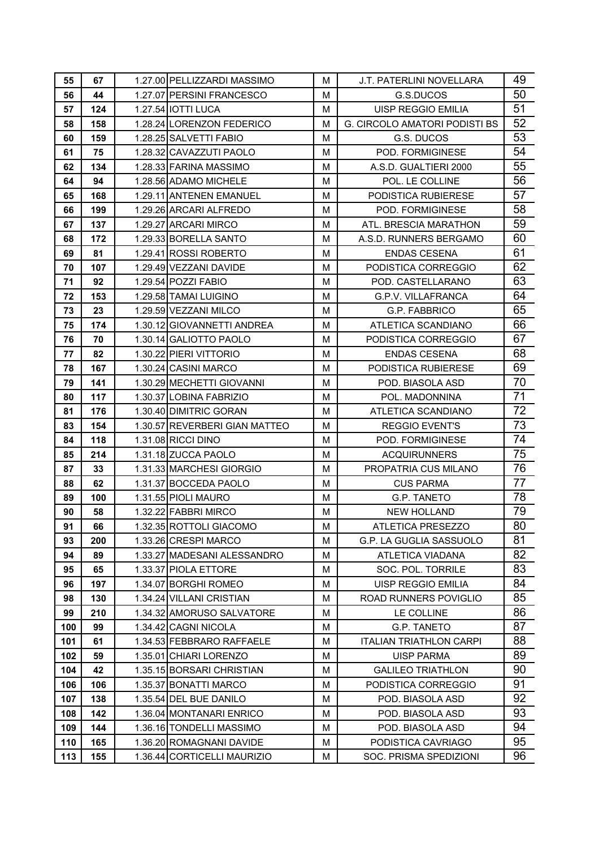| 55  | 67  | 1.27.00 PELLIZZARDI MASSIMO   | м | J.T. PATERLINI NOVELLARA             | 49 |
|-----|-----|-------------------------------|---|--------------------------------------|----|
| 56  | 44  | 1.27.07 PERSINI FRANCESCO     | м | G.S.DUCOS                            | 50 |
| 57  | 124 | 1.27.54 IOTTI LUCA            | м | UISP REGGIO EMILIA                   | 51 |
| 58  | 158 | 1.28.24 LORENZON FEDERICO     | м | <b>G. CIRCOLO AMATORI PODISTI BS</b> | 52 |
| 60  | 159 | 1.28.25 SALVETTI FABIO        | м | G.S. DUCOS                           | 53 |
| 61  | 75  | 1.28.32 CAVAZZUTI PAOLO       | м | POD. FORMIGINESE                     | 54 |
| 62  | 134 | 1.28.33 FARINA MASSIMO        | м | A.S.D. GUALTIERI 2000                | 55 |
| 64  | 94  | 1.28.56 ADAMO MICHELE         | м | POL. LE COLLINE                      | 56 |
| 65  | 168 | 1.29.11 ANTENEN EMANUEL       | м | PODISTICA RUBIERESE                  | 57 |
| 66  | 199 | 1.29.26 ARCARI ALFREDO        | M | POD. FORMIGINESE                     | 58 |
| 67  | 137 | 1.29.27 ARCARI MIRCO          | м | ATL. BRESCIA MARATHON                | 59 |
| 68  | 172 | 1.29.33 BORELLA SANTO         | м | A.S.D. RUNNERS BERGAMO               | 60 |
| 69  | 81  | 1.29.41 ROSSI ROBERTO         | м | <b>ENDAS CESENA</b>                  | 61 |
| 70  | 107 | 1.29.49 VEZZANI DAVIDE        | м | PODISTICA CORREGGIO                  | 62 |
| 71  | 92  | 1.29.54 POZZI FABIO           | м | POD. CASTELLARANO                    | 63 |
| 72  | 153 | 1.29.58 TAMAI LUIGINO         | м | G.P.V. VILLAFRANCA                   | 64 |
| 73  | 23  | 1.29.59 VEZZANI MILCO         | M | G.P. FABBRICO                        | 65 |
| 75  | 174 | 1.30.12 GIOVANNETTI ANDREA    | м | ATLETICA SCANDIANO                   | 66 |
| 76  | 70  | 1.30.14 GALIOTTO PAOLO        | м | PODISTICA CORREGGIO                  | 67 |
| 77  | 82  | 1.30.22 PIERI VITTORIO        | м | <b>ENDAS CESENA</b>                  | 68 |
| 78  | 167 | 1.30.24 CASINI MARCO          | м | PODISTICA RUBIERESE                  | 69 |
| 79  | 141 | 1.30.29 MECHETTI GIOVANNI     | м | POD. BIASOLA ASD                     | 70 |
| 80  | 117 | 1.30.37 LOBINA FABRIZIO       | м | POL. MADONNINA                       | 71 |
| 81  | 176 | 1.30.40 DIMITRIC GORAN        | м | ATLETICA SCANDIANO                   | 72 |
| 83  | 154 | 1.30.57 REVERBERI GIAN MATTEO | м | <b>REGGIO EVENT'S</b>                | 73 |
| 84  | 118 | 1.31.08 RICCI DINO            | м | POD. FORMIGINESE                     | 74 |
| 85  | 214 | 1.31.18 ZUCCA PAOLO           | м | <b>ACQUIRUNNERS</b>                  | 75 |
| 87  | 33  | 1.31.33 MARCHESI GIORGIO      | м | PROPATRIA CUS MILANO                 | 76 |
| 88  | 62  | 1.31.37 BOCCEDA PAOLO         | м | <b>CUS PARMA</b>                     | 77 |
| 89  | 100 | 1.31.55 PIOLI MAURO           | м | <b>G.P. TANETO</b>                   | 78 |
| 90  | 58  | 1.32.22 FABBRI MIRCO          | M | <b>NEW HOLLAND</b>                   | 79 |
| 91  | 66  | 1.32.35 ROTTOLI GIACOMO       | M | ATLETICA PRESEZZO                    | 80 |
| 93  | 200 | 1.33.26 CRESPI MARCO          | м | G.P. LA GUGLIA SASSUOLO              | 81 |
| 94  | 89  | 1.33.27 MADESANI ALESSANDRO   | M | <b>ATLETICA VIADANA</b>              | 82 |
| 95  | 65  | 1.33.37 PIOLA ETTORE          | M | SOC. POL. TORRILE                    | 83 |
| 96  | 197 | 1.34.07 BORGHI ROMEO          | M | <b>UISP REGGIO EMILIA</b>            | 84 |
| 98  | 130 | 1.34.24 VILLANI CRISTIAN      | м | ROAD RUNNERS POVIGLIO                | 85 |
| 99  | 210 | 1.34.32 AMORUSO SALVATORE     | м | LE COLLINE                           | 86 |
| 100 | 99  | 1.34.42 CAGNI NICOLA          | M | G.P. TANETO                          | 87 |
| 101 | 61  | 1.34.53 FEBBRARO RAFFAELE     | м | <b>ITALIAN TRIATHLON CARPI</b>       | 88 |
| 102 | 59  | 1.35.01 CHIARI LORENZO        | м | <b>UISP PARMA</b>                    | 89 |
| 104 | 42  | 1.35.15 BORSARI CHRISTIAN     | м | <b>GALILEO TRIATHLON</b>             | 90 |
| 106 | 106 | 1.35.37 BONATTI MARCO         | м | PODISTICA CORREGGIO                  | 91 |
| 107 | 138 | 1.35.54 DEL BUE DANILO        | м | POD. BIASOLA ASD                     | 92 |
| 108 | 142 | 1.36.04 MONTANARI ENRICO      | м | POD. BIASOLA ASD                     | 93 |
| 109 | 144 | 1.36.16 TONDELLI MASSIMO      | м | POD. BIASOLA ASD                     | 94 |
| 110 | 165 | 1.36.20 ROMAGNANI DAVIDE      | м | PODISTICA CAVRIAGO                   | 95 |
| 113 | 155 | 1.36.44 CORTICELLI MAURIZIO   | м | SOC. PRISMA SPEDIZIONI               | 96 |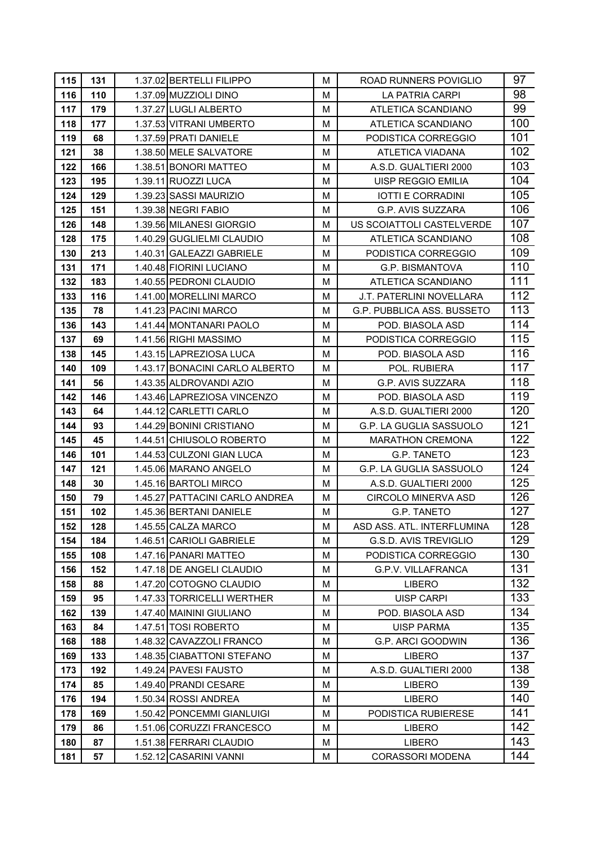| 115 | 131   | 1.37.02 BERTELLI FILIPPO       | м | ROAD RUNNERS POVIGLIO           | 97  |
|-----|-------|--------------------------------|---|---------------------------------|-----|
| 116 | 110   | 1.37.09 MUZZIOLI DINO          | M | LA PATRIA CARPI                 | 98  |
| 117 | 179   | 1.37.27 LUGLI ALBERTO          | м | ATLETICA SCANDIANO              | 99  |
| 118 | 177   | 1.37.53 VITRANI UMBERTO        | м | ATLETICA SCANDIANO              | 100 |
| 119 | 68    | 1.37.59 PRATI DANIELE          | м | PODISTICA CORREGGIO             | 101 |
| 121 | 38    | 1.38.50 MELE SALVATORE         | м | ATLETICA VIADANA                | 102 |
| 122 | 166   | 1.38.51 BONORI MATTEO          | M | A.S.D. GUALTIERI 2000           | 103 |
| 123 | 195   | 1.39.11 RUOZZI LUCA            | М | UISP REGGIO EMILIA              | 104 |
| 124 | 129   | 1.39.23 SASSI MAURIZIO         | м | <b>IOTTI E CORRADINI</b>        | 105 |
| 125 | 151   | 1.39.38 NEGRI FABIO            | M | G.P. AVIS SUZZARA               | 106 |
| 126 | 148   | 1.39.56 MILANESI GIORGIO       | М | US SCOIATTOLI CASTELVERDE       | 107 |
| 128 | 175   | 1.40.29 GUGLIELMI CLAUDIO      | M | ATLETICA SCANDIANO              | 108 |
| 130 | 213   | 1.40.31 GALEAZZI GABRIELE      | М | PODISTICA CORREGGIO             | 109 |
| 131 | 171   | 1.40.48 FIORINI LUCIANO        | М | G.P. BISMANTOVA                 | 110 |
| 132 | 183   | 1.40.55 PEDRONI CLAUDIO        | М | ATLETICA SCANDIANO              | 111 |
| 133 | 116   | 1.41.00 MORELLINI MARCO        | М | <b>J.T. PATERLINI NOVELLARA</b> | 112 |
| 135 | 78    | 1.41.23 PACINI MARCO           | М | G.P. PUBBLICA ASS. BUSSETO      | 113 |
| 136 | 143   | 1.41.44 MONTANARI PAOLO        | М | POD. BIASOLA ASD                | 114 |
| 137 | 69    | 1.41.56 RIGHI MASSIMO          | м | PODISTICA CORREGGIO             | 115 |
| 138 | 145   | 1.43.15 LAPREZIOSA LUCA        | M | POD. BIASOLA ASD                | 116 |
| 140 | 109   | 1.43.17 BONACINI CARLO ALBERTO | М | POL. RUBIERA                    | 117 |
| 141 | 56    | 1.43.35 ALDROVANDI AZIO        | м | G.P. AVIS SUZZARA               | 118 |
| 142 | 146   | 1.43.46 LAPREZIOSA VINCENZO    | M | POD. BIASOLA ASD                | 119 |
| 143 | 64    | 1.44.12 CARLETTI CARLO         | м | A.S.D. GUALTIERI 2000           | 120 |
| 144 | 93    | 1.44.29 BONINI CRISTIANO       | М | G.P. LA GUGLIA SASSUOLO         | 121 |
| 145 | 45    | 1.44.51 CHIUSOLO ROBERTO       | м | <b>MARATHON CREMONA</b>         | 122 |
| 146 | 101   | 1.44.53 CULZONI GIAN LUCA      | м | G.P. TANETO                     | 123 |
| 147 | $121$ | 1.45.06 MARANO ANGELO          | м | G.P. LA GUGLIA SASSUOLO         | 124 |
| 148 | 30    | 1.45.16 BARTOLI MIRCO          | M | A.S.D. GUALTIERI 2000           | 125 |
| 150 | 79    | 1.45.27 PATTACINI CARLO ANDREA | м | <b>CIRCOLO MINERVA ASD</b>      | 126 |
| 151 | 102   | 1.45.36 BERTANI DANIELE        | M | G.P. TANETO                     | 127 |
| 152 | 128   | 1.45.55 CALZA MARCO            | М | ASD ASS. ATL. INTERFLUMINA      | 128 |
| 154 | 184   | 1.46.51 CARIOLI GABRIELE       | М | <b>G.S.D. AVIS TREVIGLIO</b>    | 129 |
| 155 | 108   | 1.47.16 PANARI MATTEO          | М | PODISTICA CORREGGIO             | 130 |
| 156 | 152   | 1.47.18 DE ANGELI CLAUDIO      | М | <b>G.P.V. VILLAFRANCA</b>       | 131 |
| 158 | 88    | 1.47.20 COTOGNO CLAUDIO        | M | <b>LIBERO</b>                   | 132 |
| 159 | 95    | 1.47.33 TORRICELLI WERTHER     | м | UISP CARPI                      | 133 |
| 162 | 139   | 1.47.40 MAININI GIULIANO       | М | POD. BIASOLA ASD                | 134 |
| 163 | 84    | 1.47.51 TOSI ROBERTO           | М | <b>UISP PARMA</b>               | 135 |
| 168 | 188   | 1.48.32 CAVAZZOLI FRANCO       | М | <b>G.P. ARCI GOODWIN</b>        | 136 |
| 169 | 133   | 1.48.35 CIABATTONI STEFANO     | М | <b>LIBERO</b>                   | 137 |
| 173 | 192   | 1.49.24 PAVESI FAUSTO          | М | A.S.D. GUALTIERI 2000           | 138 |
| 174 | 85    | 1.49.40 PRANDI CESARE          | м | <b>LIBERO</b>                   | 139 |
| 176 | 194   | 1.50.34 ROSSI ANDREA           | М | <b>LIBERO</b>                   | 140 |
| 178 | 169   | 1.50.42 PONCEMMI GIANLUIGI     | М | PODISTICA RUBIERESE             | 141 |
| 179 | 86    | 1.51.06 CORUZZI FRANCESCO      | M | <b>LIBERO</b>                   | 142 |
| 180 | 87    | 1.51.38 FERRARI CLAUDIO        | М | <b>LIBERO</b>                   | 143 |
| 181 | 57    | 1.52.12 CASARINI VANNI         | М | <b>CORASSORI MODENA</b>         | 144 |